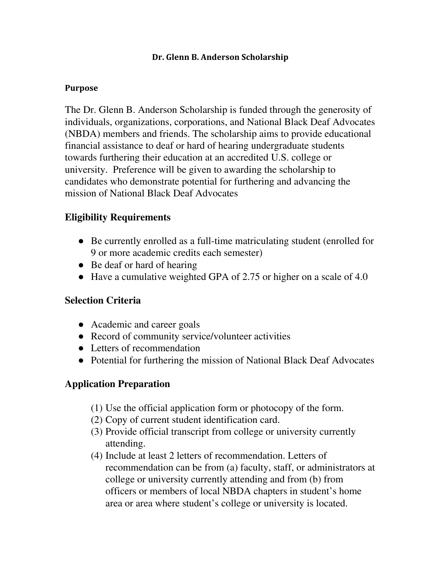#### Dr. Glenn B. Anderson Scholarship

#### Purpose

The Dr. Glenn B. Anderson Scholarship is funded through the generosity of individuals, organizations, corporations, and National Black Deaf Advocates (NBDA) members and friends. The scholarship aims to provide educational financial assistance to deaf or hard of hearing undergraduate students towards furthering their education at an accredited U.S. college or university. Preference will be given to awarding the scholarship to candidates who demonstrate potential for furthering and advancing the mission of National Black Deaf Advocates

## Eligibility Requirements

- Be currently enrolled as a full-time matriculating student (enrolled for 9 or more academic credits each semester)
- Be deaf or hard of hearing
- Have a cumulative weighted GPA of 2.75 or higher on a scale of 4.0

## Selection Criteria

- **●** Academic and career goals
- **●** Record of community service/volunteer activities
- **●** Letters of recommendation
- **●** Potential for furthering the mission of National Black Deaf Advocates

# Application Preparation

- (1) Use the official application form or photocopy of the form.
- (2) Copy of current student identification card.
- (3) Provide official transcript from college or university currently attending.
- (4) Include at least 2 letters of recommendation. Letters of recommendation can be from (a) faculty, staff, or administrators at college or university currently attending and from (b) from officers or members of local NBDA chapters in student's home area or area where student's college or university is located.